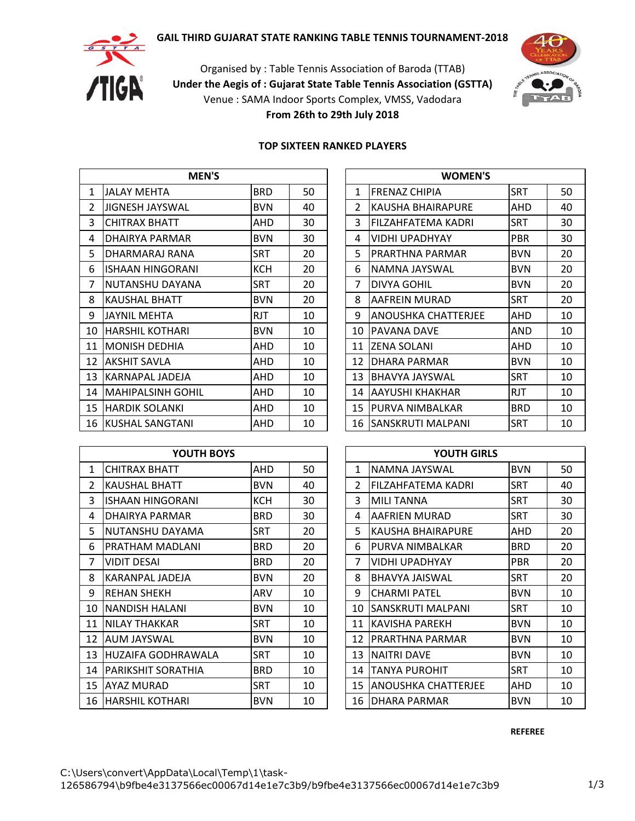# **GAIL THIRD GUJARAT STATE RANKING TABLE TENNIS TOURNAMENT-2018**



Organised by : Table Tennis Association of Baroda (TTAB) **Under the Aegis of : Gujarat State Table Tennis Association (GSTTA)** Venue : SAMA Indoor Sports Complex, VMSS, Vadodara **From 26th to 29th July 2018**



### **TOP SIXTEEN RANKED PLAYERS**

|               | <b>MEN'S</b>              |            |    |               | <b>WOMEN'S</b>             |            |    |
|---------------|---------------------------|------------|----|---------------|----------------------------|------------|----|
| $\mathbf{1}$  | JALAY MEHTA               | <b>BRD</b> | 50 | 1             | <b>FRENAZ CHIPIA</b>       | <b>SRT</b> | 50 |
| $\mathcal{L}$ | <b>JIGNESH JAYSWAL</b>    | <b>BVN</b> | 40 | $\mathcal{L}$ | <b>KAUSHA BHAIRAPURE</b>   | AHD        | 40 |
| 3             | <b>CHITRAX BHATT</b>      | AHD        | 30 | 3             | IFILZAHFATEMA KADRI        | <b>SRT</b> | 30 |
| 4             | <b>DHAIRYA PARMAR</b>     | <b>BVN</b> | 30 | 4             | <b>VIDHI UPADHYAY</b>      | <b>PBR</b> | 30 |
| 5.            | DHARMARAJ RANA            | <b>SRT</b> | 20 | 5.            | IPRARTHNA PARMAR           | <b>BVN</b> | 20 |
| 6             | <b>ISHAAN HINGORANI</b>   | <b>KCH</b> | 20 | 6             | NAMNA JAYSWAL              | <b>BVN</b> | 20 |
| 7             | NUTANSHU DAYANA           | <b>SRT</b> | 20 | 7             | <b>DIVYA GOHIL</b>         | <b>BVN</b> | 20 |
| 8             | <b>KAUSHAL BHATT</b>      | <b>BVN</b> | 20 | 8             | <b>AAFREIN MURAD</b>       | <b>SRT</b> | 20 |
| 9             | JAYNIL MEHTA              | <b>RJT</b> | 10 | 9             | <b>ANOUSHKA CHATTERJEE</b> | AHD        | 10 |
| 10            | <b>HARSHIL KOTHARI</b>    | <b>BVN</b> | 10 | 10            | <b>PAVANA DAVE</b>         | AND        | 10 |
| 11            | <b>MONISH DEDHIA</b>      | AHD        | 10 | 11            | <b>ZENA SOLANI</b>         | AHD        | 10 |
| 12            | <b>AKSHIT SAVLA</b>       | AHD        | 10 | 12            | DHARA PARMAR               | <b>BVN</b> | 10 |
| 13            | lKARNAPAL JADEJA          | AHD        | 10 | 13            | <b>IBHAVYA JAYSWAL</b>     | <b>SRT</b> | 10 |
| 14            | <b>MAHIPALSINH GOHIL</b>  | AHD        | 10 | 14            | <b>AAYUSHI KHAKHAR</b>     | <b>RJT</b> | 10 |
| 15            | <b>HARDIK SOLANKI</b>     | AHD        | 10 | 15            | <b>PURVA NIMBALKAR</b>     | <b>BRD</b> | 10 |
|               | <b>16 KUSHAL SANGTANI</b> | AHD        | 10 | 16            | <b>ISANSKRUTI MALPANI</b>  | <b>SRT</b> | 10 |

| <b>MEN'S</b> |            |    | <b>WOMEN'S</b> |                           |            |    |  |  |  |
|--------------|------------|----|----------------|---------------------------|------------|----|--|--|--|
|              | <b>BRD</b> | 50 | 1              | <b>FRENAZ CHIPIA</b>      | <b>SRT</b> | 50 |  |  |  |
|              | <b>BVN</b> | 40 | $\mathcal{P}$  | <b>KAUSHA BHAIRAPURE</b>  | AHD        | 40 |  |  |  |
|              | AHD        | 30 | 3              | <b>FILZAHFATEMA KADRI</b> | <b>SRT</b> | 30 |  |  |  |
|              | <b>BVN</b> | 30 | 4              | <b>VIDHI UPADHYAY</b>     | <b>PBR</b> | 30 |  |  |  |
| A            | SRT        | 20 | 5.             | <b>PRARTHNA PARMAR</b>    | <b>BVN</b> | 20 |  |  |  |
| ΝI           | <b>KCH</b> | 20 | 6              | NAMNA JAYSWAL             | <b>BVN</b> | 20 |  |  |  |
| NΑ           | <b>SRT</b> | 20 | 7              | <b>DIVYA GOHIL</b>        | <b>BVN</b> | 20 |  |  |  |
|              | <b>BVN</b> | 20 | 8              | <b>AAFREIN MURAD</b>      | <b>SRT</b> | 20 |  |  |  |
|              | <b>RJT</b> | 10 | 9              | ANOUSHKA CHATTERJEE       | AHD        | 10 |  |  |  |
|              | <b>BVN</b> | 10 | 10             | <b>PAVANA DAVE</b>        | AND        | 10 |  |  |  |
|              | AHD        | 10 | 11             | IZENA SOLANI              | AHD        | 10 |  |  |  |
|              | AHD        | 10 | 12             | <b>DHARA PARMAR</b>       | <b>BVN</b> | 10 |  |  |  |
|              | AHD        | 10 | 13             | <b>BHAVYA JAYSWAL</b>     | <b>SRT</b> | 10 |  |  |  |
| HIL          | AHD        | 10 | 14             | laayushi khakhar          | <b>RJT</b> | 10 |  |  |  |
|              | AHD        | 10 | 15             | <b>PURVA NIMBALKAR</b>    | <b>BRD</b> | 10 |  |  |  |
| П            | AHD        | 10 | 16             | <b>SANSKRUTI MALPANI</b>  | <b>SRT</b> | 10 |  |  |  |

|                | YOUTH BOYS                |            |    |    | <b>YOUTH GIRLS</b>         |            |    |
|----------------|---------------------------|------------|----|----|----------------------------|------------|----|
| 1              | <b>CHITRAX BHATT</b>      | AHD        | 50 | 1  | NAMNA JAYSWAL              | <b>BVN</b> | 50 |
| $\overline{2}$ | <b>KAUSHAL BHATT</b>      | <b>BVN</b> | 40 | 2  | FILZAHFATEMA KADRI         | <b>SRT</b> | 40 |
| 3              | ISHAAN HINGORANI          | <b>KCH</b> | 30 | 3  | <b>MILI TANNA</b>          | <b>SRT</b> | 30 |
| 4              | DHAIRYA PARMAR            | <b>BRD</b> | 30 | 4  | AAFRIEN MURAD              | SRT        | 30 |
| 5.             | NUTANSHU DAYAMA           | <b>SRT</b> | 20 | 5  | IKAUSHA BHAIRAPURE         | AHD        | 20 |
| 6              | PRATHAM MADLANI           | <b>BRD</b> | 20 | 6  | IPURVA NIMBALKAR           | <b>BRD</b> | 20 |
| 7              | <b>VIDIT DESAI</b>        | <b>BRD</b> | 20 | 7  | VIDHI UPADHYAY             | <b>PBR</b> | 20 |
| 8              | <b>KARANPAL JADEJA</b>    | <b>BVN</b> | 20 | 8  | <b>BHAVYA JAISWAL</b>      | <b>SRT</b> | 20 |
| 9              | <b>REHAN SHEKH</b>        | ARV        | 10 | 9  | <b>CHARMI PATEL</b>        | <b>BVN</b> | 10 |
| 10             | NANDISH HALANI            | <b>BVN</b> | 10 | 10 | ISANSKRUTI MALPANI         | <b>SRT</b> | 10 |
| 11             | NILAY THAKKAR             | <b>SRT</b> | 10 | 11 | <b>KAVISHA PAREKH</b>      | <b>BVN</b> | 10 |
| 12             | <b>AUM JAYSWAL</b>        | <b>BVN</b> | 10 | 12 | IPRARTHNA PARMAR           | <b>BVN</b> | 10 |
| 13             | <b>HUZAIFA GODHRAWALA</b> | <b>SRT</b> | 10 | 13 | <b>NAITRI DAVE</b>         | <b>BVN</b> | 10 |
| 14             | <b>PARIKSHIT SORATHIA</b> | <b>BRD</b> | 10 | 14 | TANYA PUROHIT              | <b>SRT</b> | 10 |
| 15             | AYAZ MURAD                | <b>SRT</b> | 10 | 15 | <b>ANOUSHKA CHATTERJEE</b> | AHD        | 10 |
| 16             | <b>HARSHIL KOTHARI</b>    | <b>BVN</b> | 10 | 16 | DHARA PARMAR               | <b>BVN</b> | 10 |

| YOUTH BOYS   |            |    |    | <b>YOUTH GIRLS</b>         |            |    |
|--------------|------------|----|----|----------------------------|------------|----|
| Τ            | AHD        | 50 | 1  | NAMNA JAYSWAL              | <b>BVN</b> | 50 |
| ΓT           | <b>BVN</b> | 40 | 2  | FILZAHFATEMA KADRI         | <b>SRT</b> | 40 |
| )RANI        | <b>KCH</b> | 30 | 3  | <b>MILI TANNA</b>          | <b>SRT</b> | 30 |
| 1AR.         | <b>BRD</b> | 30 | 4  | AAFRIEN MURAD              | <b>SRT</b> | 30 |
| <b>\YAMA</b> | <b>SRT</b> | 20 | 5  | <b>KAUSHA BHAIRAPURE</b>   | AHD        | 20 |
| DLANI        | <b>BRD</b> | 20 | 6  | PURVA NIMBALKAR            | <b>BRD</b> | 20 |
|              | <b>BRD</b> | 20 | 7  | <b>VIDHI UPADHYAY</b>      | <b>PBR</b> | 20 |
| )EJA         | <b>BVN</b> | 20 | 8  | BHAVYA JAISWAL             | <b>SRT</b> | 20 |
|              | ARV        | 10 | 9  | <b>CHARMI PATEL</b>        | <b>BVN</b> | 10 |
| ١N١          | <b>BVN</b> | 10 | 10 | <b>SANSKRUTI MALPANI</b>   | <b>SRT</b> | 10 |
| R            | <b>SRT</b> | 10 | 11 | <b>KAVISHA PAREKH</b>      | <b>BVN</b> | 10 |
|              | <b>BVN</b> | 10 | 12 | PRARTHNA PARMAR            | <b>BVN</b> | 10 |
| HRAWALA      | <b>SRT</b> | 10 | 13 | NAITRI DAVE                | <b>BVN</b> | 10 |
| <b>ATHIA</b> | <b>BRD</b> | 10 | 14 | <b>TANYA PUROHIT</b>       | <b>SRT</b> | 10 |
|              | <b>SRT</b> | 10 | 15 | <b>ANOUSHKA CHATTERJEE</b> | AHD        | 10 |
| ARI          | <b>BVN</b> | 10 | 16 | <b>DHARA PARMAR</b>        | <b>BVN</b> | 10 |

**REFEREE**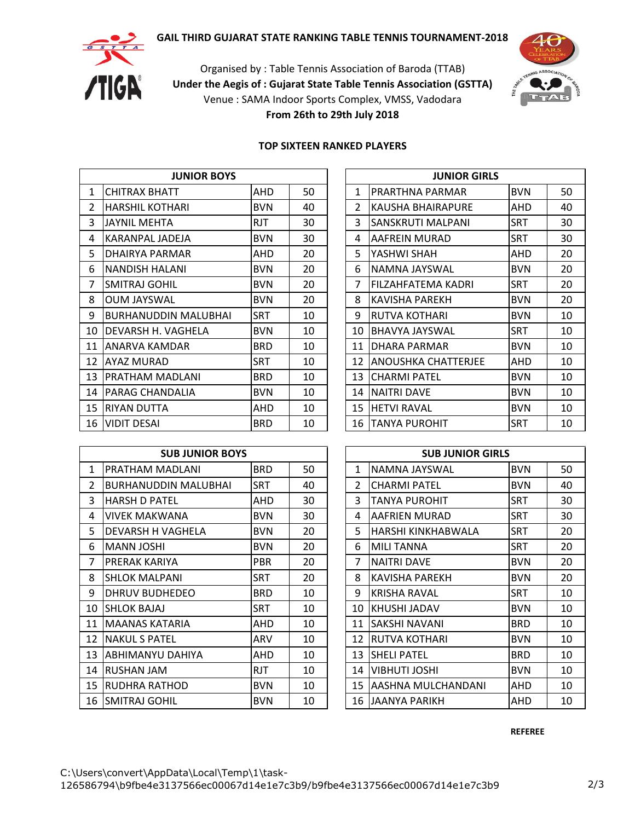# **GAIL THIRD GUJARAT STATE RANKING TABLE TENNIS TOURNAMENT-2018**



Organised by : Table Tennis Association of Baroda (TTAB) **Under the Aegis of : Gujarat State Table Tennis Association (GSTTA)** Venue : SAMA Indoor Sports Complex, VMSS, Vadodara **From 26th to 29th July 2018**



#### **TOP SIXTEEN RANKED PLAYERS**

|                | <b>JUNIOR BOYS</b>          |            |    |               | <b>JUNIOR GIRLS</b>   |            |    |
|----------------|-----------------------------|------------|----|---------------|-----------------------|------------|----|
| $\mathbf{1}$   | <b>CHITRAX BHATT</b>        | AHD        | 50 | 1             | IPRARTHNA PARMAR      | <b>BVN</b> | 50 |
| $\mathfrak{D}$ | HARSHIL KOTHARI             | <b>BVN</b> | 40 | $\mathcal{L}$ | IKAUSHA BHAIRAPURE    | AHD        | 40 |
| 3              | <b>JAYNIL MEHTA</b>         | <b>RJT</b> | 30 | 3             | ISANSKRUTI MALPANI    | <b>SRT</b> | 30 |
| 4              | <b>KARANPAL JADEJA</b>      | <b>BVN</b> | 30 | 4             | AAFREIN MURAD         | <b>SRT</b> | 30 |
| 5.             | DHAIRYA PARMAR              | AHD        | 20 | 5.            | YASHWI SHAH           | AHD        | 20 |
| 6              | <b>NANDISH HALANI</b>       | <b>BVN</b> | 20 | 6             | NAMNA JAYSWAL         | <b>BVN</b> | 20 |
| 7              | <b>SMITRAJ GOHIL</b>        | <b>BVN</b> | 20 | 7             | lFILZAHFATEMA KADRI   | <b>SRT</b> | 20 |
| 8              | <b>OUM JAYSWAL</b>          | <b>BVN</b> | 20 | 8             | <b>KAVISHA PAREKH</b> | <b>BVN</b> | 20 |
| 9              | <b>BURHANUDDIN MALUBHAI</b> | <b>SRT</b> | 10 | 9             | <b>RUTVA KOTHARI</b>  | <b>BVN</b> | 10 |
| 10             | DEVARSH H. VAGHELA          | <b>BVN</b> | 10 | 10            | <b>BHAVYA JAYSWAL</b> | <b>SRT</b> | 10 |
| 11             | ANARVA KAMDAR               | <b>BRD</b> | 10 | 11            | <b>DHARA PARMAR</b>   | <b>BVN</b> | 10 |
| 12             | <b>AYAZ MURAD</b>           | <b>SRT</b> | 10 | 12            | ANOUSHKA CHATTERJEE   | AHD        | 10 |
| 13             | IPRATHAM MADLANI            | <b>BRD</b> | 10 | 13            | <b>ICHARMI PATEL</b>  | <b>BVN</b> | 10 |
| 14             | PARAG CHANDALIA             | <b>BVN</b> | 10 | 14            | <b>NAITRI DAVE</b>    | <b>BVN</b> | 10 |
| 15             | <b>RIYAN DUTTA</b>          | AHD        | 10 | 15            | <b>HETVI RAVAL</b>    | <b>BVN</b> | 10 |
| 16             | <b>VIDIT DESAI</b>          | <b>BRD</b> | 10 | 16            | TANYA PUROHIT         | <b>SRT</b> | 10 |

| <b>JUNIOR BOYS</b> |            |    |               | <b>JUNIOR GIRLS</b>       |            |    |
|--------------------|------------|----|---------------|---------------------------|------------|----|
| T                  | AHD        | 50 | 1             | PRARTHNA PARMAR           | <b>BVN</b> | 50 |
| IARI               | <b>BVN</b> | 40 | $\mathcal{P}$ | KAUSHA BHAIRAPURE         | AHD        | 40 |
|                    | <b>RJT</b> | 30 | 3             | SANSKRUTI MALPANI         | <b>SRT</b> | 30 |
| )EJA               | <b>BVN</b> | 30 | 4             | AAFREIN MURAD             | <b>SRT</b> | 30 |
| MAR                | AHD        | 20 | 5.            | YASHWI SHAH               | AHD        | 20 |
| ۹NI                | <b>BVN</b> | 20 | 6             | NAMNA JAYSWAL             | <b>BVN</b> | 20 |
| L                  | <b>BVN</b> | 20 | 7             | FILZAHFATEMA KADRI        | <b>SRT</b> | 20 |
|                    | <b>BVN</b> | 20 | 8             | <b>KAVISHA PAREKH</b>     | <b>BVN</b> | 20 |
| N MALUBHAI         | <b>SRT</b> | 10 | 9             | RUTVA KOTHARI             | BVN        | 10 |
| AGHELA             | <b>BVN</b> | 10 | 10            | <b>BHAVYA JAYSWAL</b>     | <b>SRT</b> | 10 |
| DAR.               | <b>BRD</b> | 10 | 11            | DHARA PARMAR              | <b>BVN</b> | 10 |
|                    | <b>SRT</b> | 10 | 12            | IANOUSHKA CHATTERJEE      | AHD        | 10 |
| DLANI              | <b>BRD</b> | 10 | 13            | <b>CHARMI PATEL</b>       | <b>BVN</b> | 10 |
| )ALIA              | <b>BVN</b> | 10 | 14            | <b>NAITRI DAVE</b>        | BVN        | 10 |
|                    | AHD        | 10 | 15            | <b>HETVI RAVAL</b>        | BVN        | 10 |
|                    | <b>BRD</b> | 10 |               | <b>16   TANYA PUROHIT</b> | <b>SRT</b> | 10 |

|              | <b>SUB JUNIOR BOYS</b>      |            |    |                | <b>SUB JUNIOR GIRLS</b> |            |    |
|--------------|-----------------------------|------------|----|----------------|-------------------------|------------|----|
| $\mathbf{1}$ | PRATHAM MADLANI             | <b>BRD</b> | 50 | 1              | NAMNA JAYSWAL           | <b>BVN</b> | 50 |
| 2            | <b>BURHANUDDIN MALUBHAI</b> | <b>SRT</b> | 40 | $\overline{2}$ | <b>CHARMI PATEL</b>     | <b>BVN</b> | 40 |
| 3            | IHARSH D PATEL              | AHD        | 30 | 3              | TANYA PUROHIT           | <b>SRT</b> | 30 |
| 4            | <b>VIVEK MAKWANA</b>        | <b>BVN</b> | 30 | 4              | AAFRIEN MURAD           | <b>SRT</b> | 30 |
| 5.           | DEVARSH H VAGHELA           | <b>BVN</b> | 20 | 5              | IHARSHI KINKHABWALA     | SRT        | 20 |
| 6            | <b>MANN JOSHI</b>           | <b>BVN</b> | 20 | 6              | <b>MILI TANNA</b>       | <b>SRT</b> | 20 |
| 7            | IPRERAK KARIYA              | <b>PBR</b> | 20 | 7              | <b>NAITRI DAVE</b>      | <b>BVN</b> | 20 |
| 8            | <b>SHLOK MALPANI</b>        | <b>SRT</b> | 20 | 8              | KAVISHA PAREKH          | <b>BVN</b> | 20 |
| 9            | <b>DHRUV BUDHEDEO</b>       | <b>BRD</b> | 10 | 9              | IKRISHA RAVAL           | <b>SRT</b> | 10 |
| 10           | <b>SHLOK BAJAJ</b>          | <b>SRT</b> | 10 | 10             | <b>IKHUSHI JADAV</b>    | <b>BVN</b> | 10 |
| 11           | MAANAS KATARIA              | AHD        | 10 | 11             | <b>SAKSHI NAVANI</b>    | <b>BRD</b> | 10 |
| 12           | <b>NAKUL S PATEL</b>        | ARV        | 10 | 12             | <b>RUTVA KOTHARI</b>    | <b>BVN</b> | 10 |
| 13           | IABHIMANYU DAHIYA           | AHD        | 10 | 13             | <b>SHELI PATEL</b>      | <b>BRD</b> | 10 |
| 14           | <b>RUSHAN JAM</b>           | <b>RJT</b> | 10 | 14             | <b>VIBHUTI JOSHI</b>    | <b>BVN</b> | 10 |
| 15           | <b>RUDHRA RATHOD</b>        | <b>BVN</b> | 10 | 15             | AASHNA MULCHANDANI      | AHD        | 10 |
| 16           | ISMITRAJ GOHIL              | <b>BVN</b> | 10 | 16             | JAANYA PARIKH           | AHD        | 10 |

|    | <b>SUB JUNIOR GIRLS</b> |            |    |
|----|-------------------------|------------|----|
| 1  | NAMNA JAYSWAL           | <b>BVN</b> | 50 |
| 2  | <b>CHARMI PATEL</b>     | <b>BVN</b> | 40 |
| 3  | <b>TANYA PUROHIT</b>    | SRT        | 30 |
| 4  | AAFRIEN MURAD           | SRT        | 30 |
| 5  | HARSHI KINKHABWALA      | SRT        | 20 |
| 6  | <b>MILI TANNA</b>       | <b>SRT</b> | 20 |
| 7  | <b>NAITRI DAVE</b>      | <b>BVN</b> | 20 |
| 8  | KAVISHA PAREKH          | BVN        | 20 |
| 9  | KRISHA RAVAL            | <b>SRT</b> | 10 |
| 10 | KHUSHI JADAV            | BVN        | 10 |
| 11 | SAKSHI NAVANI           | BRD        | 10 |
| 12 | RUTVA KOTHARI           | <b>BVN</b> | 10 |
| 13 | <b>SHELI PATEL</b>      | BRD        | 10 |
| 14 | VIBHUTI JOSHI           | <b>BVN</b> | 10 |
| 15 | AASHNA MULCHANDANI      | AHD        | 10 |
| 16 | JAANYA PARIKH           | AHD        | 10 |

**REFEREE**